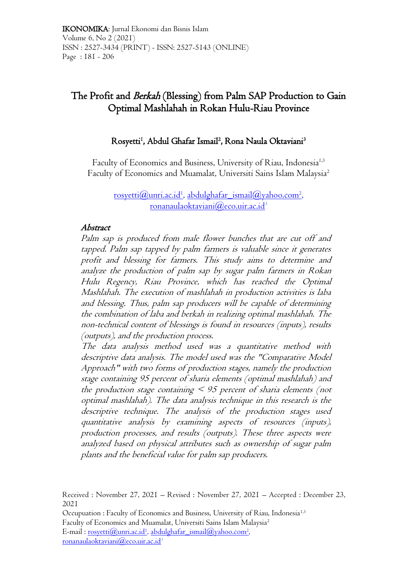# The Profit and Berkah (Blessing) from Palm SAP Production to Gain Optimal Mashlahah in Rokan Hulu-Riau Province

### Rosyetti<sup>1</sup>, Abdul Ghafar Ismail<sup>2</sup>, Rona Naula Oktaviani<sup>3</sup>

Faculty of Economics and Business, University of Riau, Indonesia<sup>1,3</sup> Faculty of Economics and Muamalat, Universiti Sains Islam Malaysia<sup>2</sup>

> $\overline{\text{rosyetti}(Q\text{unri.ac.id}^1\text{, abdulghafar\_ismail}(Q\text{yahoo.com}^2\text{,}^2\text{,}^3\text{,}^3\text{,}^3\text{,}^3\text{,}^3\text{,}^3\text{,}^3\text{,}^3\text{,}^3\text{,}^3\text{,}^3\text{,}^3\text{,}^3\text{,}^3\text{,}^3\text{,}^3\text{,}^3\text{,}^3\text{,}^3\text{,}^3\text{,}^3\text{,}^3\text{,}^3\text{,}^3$ , [ronanaulaoktaviani@eco.uir.ac.id](mailto:ronanaulaoktaviani@eco.uir.ac.id)<sup>3</sup>

### Abstract

Palm sap is produced from male flower bunches that are cut off and tapped. Palm sap tapped by palm farmers is valuable since it generates profit and blessing for farmers. This study aims to determine and analyze the production of palm sap by sugar palm farmers in Rokan Hulu Regency, Riau Province, which has reached the Optimal Mashlahah. The execution of mashlahah in production activities is laba and blessing. Thus, palm sap producers will be capable of determining the combination of laba and berkah in realizing optimal mashlahah. The non-technical content of blessings is found in resources (inputs), results (outputs), and the production process.

The data analysis method used was a quantitative method with descriptive data analysis. The model used was the "Comparative Model Approach" with two forms of production stages, namely the production stage containing 95 percent of sharia elements (optimal mashlahah) and the production stage containing  $\leq$  95 percent of sharia elements (not optimal mashlahah). The data analysis technique in this research is the descriptive technique. The analysis of the production stages used quantitative analysis by examining aspects of resources (inputs), production processes, and results (outputs). These three aspects were analyzed based on physical attributes such as ownership of sugar palm plants and the beneficial value for palm sap producers.

Received : November 27, 2021 – Revised : November 27, 2021 – Accepted : December 23, 2021

Occupuation : Faculty of Economics and Business, University of Riau, Indonesia<sup>1,3</sup> Faculty of Economics and Muamalat, Universiti Sains Islam Malaysia<sup>2</sup> E-mail : <u>rosyetti@unri.ac.id<sup>1</sup>, abdulghafar\_ismail@yahoo.com<sup>2</sup>,</u>

 $ronanaulaoktaviani@eco.uir.ac.id<sup>3</sup>$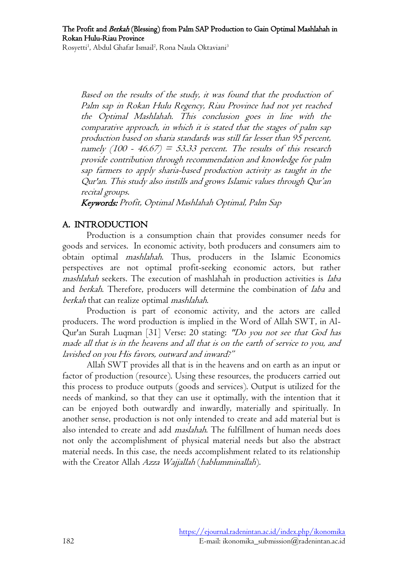Based on the results of the study, it was found that the production of Palm sap in Rokan Hulu Regency, Riau Province had not yet reached the Optimal Mashlahah. This conclusion goes in line with the comparative approach, in which it is stated that the stages of palm sap production based on sharia standards was still far lesser than 95 percent, namely  $(100 - 46.67) = 53.33$  percent. The results of this research provide contribution through recommendation and knowledge for palm sap farmers to apply sharia-based production activity as taught in the Qur'an. This study also instills and grows Islamic values through Qur'an recital groups.

Keywords: Profit, Optimal Mashlahah Optimal, Palm Sap

### A. INTRODUCTION

Production is a consumption chain that provides consumer needs for goods and services. In economic activity, both producers and consumers aim to obtain optimal mashlahah. Thus, producers in the Islamic Economics perspectives are not optimal profit-seeking economic actors, but rather mashlahah seekers. The execution of mashlahah in production activities is laba and berkah. Therefore, producers will determine the combination of laba and berkah that can realize optimal mashlahah.

Production is part of economic activity, and the actors are called producers. The word production is implied in the Word of Allah SWT, in Al-Qur'an Surah Luqman [31] Verse: 20 stating: "Do you not see that God has made all that is in the heavens and all that is on the earth of service to you, and lavished on you His favors, outward and inward?"

Allah SWT provides all that is in the heavens and on earth as an input or factor of production (resource). Using these resources, the producers carried out this process to produce outputs (goods and services). Output is utilized for the needs of mankind, so that they can use it optimally, with the intention that it can be enjoyed both outwardly and inwardly, materially and spiritually. In another sense, production is not only intended to create and add material but is also intended to create and add maslahah. The fulfillment of human needs does not only the accomplishment of physical material needs but also the abstract material needs. In this case, the needs accomplishment related to its relationship with the Creator Allah Azza Wajjallah (hablumminallah).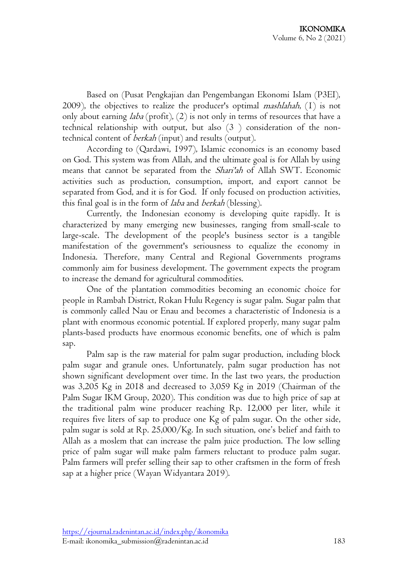Based on (Pusat Pengkajian dan Pengembangan Ekonomi Islam (P3EI), 2009), the objectives to realize the producer's optimal *mashlahah*,  $(1)$  is not only about earning *laba* (profit),  $(2)$  is not only in terms of resources that have a technical relationship with output, but also (3 ) consideration of the nontechnical content of berkah (input) and results (output).

According to (Qardawi, 1997), Islamic economics is an economy based on God. This system was from Allah, and the ultimate goal is for Allah by using means that cannot be separated from the *Shari'ah* of Allah SWT. Economic activities such as production, consumption, import, and export cannot be separated from God, and it is for God. If only focused on production activities, this final goal is in the form of *laba* and *berkah* (blessing).

Currently, the Indonesian economy is developing quite rapidly. It is characterized by many emerging new businesses, ranging from small-scale to large-scale. The development of the people's business sector is a tangible manifestation of the government's seriousness to equalize the economy in Indonesia. Therefore, many Central and Regional Governments programs commonly aim for business development. The government expects the program to increase the demand for agricultural commodities.

One of the plantation commodities becoming an economic choice for people in Rambah District, Rokan Hulu Regency is sugar palm. Sugar palm that is commonly called Nau or Enau and becomes a characteristic of Indonesia is a plant with enormous economic potential. If explored properly, many sugar palm plants-based products have enormous economic benefits, one of which is palm sap.

Palm sap is the raw material for palm sugar production, including block palm sugar and granule ones. Unfortunately, palm sugar production has not shown significant development over time. In the last two years, the production was 3,205 Kg in 2018 and decreased to 3,059 Kg in 2019 (Chairman of the Palm Sugar IKM Group, 2020). This condition was due to high price of sap at the traditional palm wine producer reaching Rp. 12,000 per liter, while it requires five liters of sap to produce one Kg of palm sugar. On the other side, palm sugar is sold at Rp. 25,000/Kg. In such situation, one's belief and faith to Allah as a moslem that can increase the palm juice production. The low selling price of palm sugar will make palm farmers reluctant to produce palm sugar. Palm farmers will prefer selling their sap to other craftsmen in the form of fresh sap at a higher price (Wayan Widyantara 2019).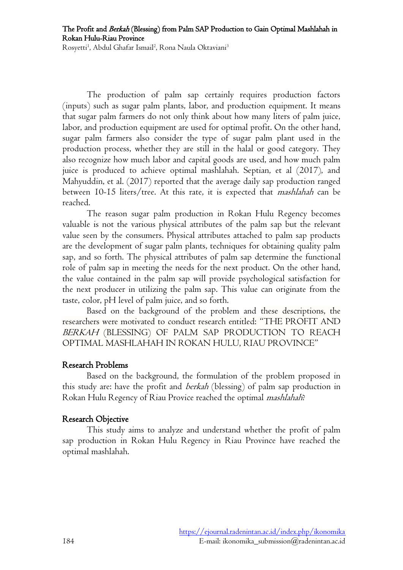The Profit and Berkah (Blessing) from Palm SAP Production to Gain Optimal Mashlahah in Rokan Hulu-Riau Province

Rosyetti<sup>1</sup>, Abdul Ghafar Ismail<sup>2</sup>, Rona Naula Oktaviani<sup>3</sup>

The production of palm sap certainly requires production factors (inputs) such as sugar palm plants, labor, and production equipment. It means that sugar palm farmers do not only think about how many liters of palm juice, labor, and production equipment are used for optimal profit. On the other hand, sugar palm farmers also consider the type of sugar palm plant used in the production process, whether they are still in the halal or good category. They also recognize how much labor and capital goods are used, and how much palm juice is produced to achieve optimal mashlahah. Septian, et al (2017), and Mahyuddin, et al. (2017) reported that the average daily sap production ranged between 10-15 liters/tree. At this rate, it is expected that *mashlahah* can be reached.

The reason sugar palm production in Rokan Hulu Regency becomes valuable is not the various physical attributes of the palm sap but the relevant value seen by the consumers. Physical attributes attached to palm sap products are the development of sugar palm plants, techniques for obtaining quality palm sap, and so forth. The physical attributes of palm sap determine the functional role of palm sap in meeting the needs for the next product. On the other hand, the value contained in the palm sap will provide psychological satisfaction for the next producer in utilizing the palm sap. This value can originate from the taste, color, pH level of palm juice, and so forth.

Based on the background of the problem and these descriptions, the researchers were motivated to conduct research entitled: "THE PROFIT AND BERKAH (BLESSING) OF PALM SAP PRODUCTION TO REACH OPTIMAL MASHLAHAH IN ROKAN HULU, RIAU PROVINCE"

#### Research Problems

Based on the background, the formulation of the problem proposed in this study are: have the profit and *berkah* (blessing) of palm sap production in Rokan Hulu Regency of Riau Provice reached the optimal mashlahah?

#### Research Objective

This study aims to analyze and understand whether the profit of palm sap production in Rokan Hulu Regency in Riau Province have reached the optimal mashlahah.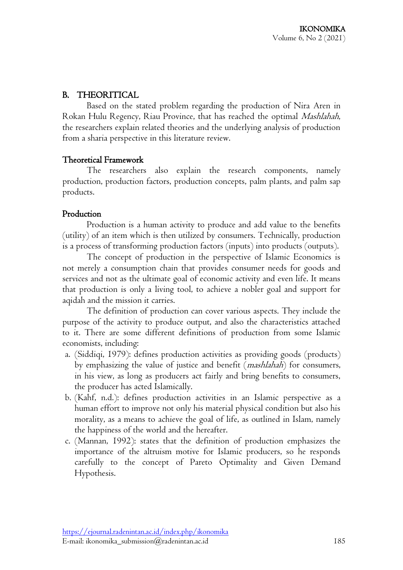# B. THEORITICAL

Based on the stated problem regarding the production of Nira Aren in Rokan Hulu Regency, Riau Province, that has reached the optimal Mashlahah, the researchers explain related theories and the underlying analysis of production from a sharia perspective in this literature review.

### Theoretical Framework

The researchers also explain the research components, namely production, production factors, production concepts, palm plants, and palm sap products.

# Production

Production is a human activity to produce and add value to the benefits (utility) of an item which is then utilized by consumers. Technically, production is a process of transforming production factors (inputs) into products (outputs).

The concept of production in the perspective of Islamic Economics is not merely a consumption chain that provides consumer needs for goods and services and not as the ultimate goal of economic activity and even life. It means that production is only a living tool, to achieve a nobler goal and support for aqidah and the mission it carries.

The definition of production can cover various aspects. They include the purpose of the activity to produce output, and also the characteristics attached to it. There are some different definitions of production from some Islamic economists, including:

- a. (Siddiqi, 1979): defines production activities as providing goods (products) by emphasizing the value of justice and benefit (*mashlahah*) for consumers, in his view, as long as producers act fairly and bring benefits to consumers, the producer has acted Islamically.
- b. (Kahf, n.d.): defines production activities in an Islamic perspective as a human effort to improve not only his material physical condition but also his morality, as a means to achieve the goal of life, as outlined in Islam, namely the happiness of the world and the hereafter.
- c. (Mannan, 1992): states that the definition of production emphasizes the importance of the altruism motive for Islamic producers, so he responds carefully to the concept of Pareto Optimality and Given Demand Hypothesis.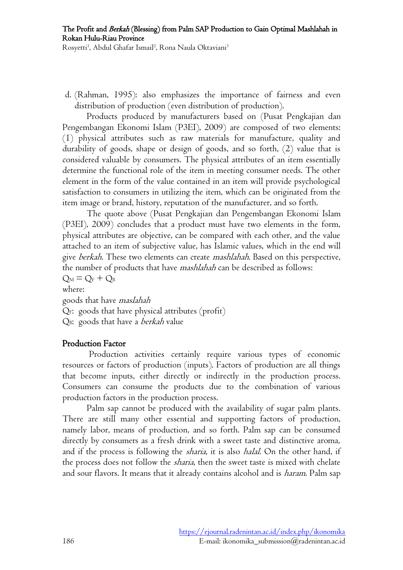d. (Rahman, 1995): also emphasizes the importance of fairness and even distribution of production (even distribution of production).

Products produced by manufacturers based on (Pusat Pengkajian dan Pengembangan Ekonomi Islam (P3EI), 2009) are composed of two elements: (1) physical attributes such as raw materials for manufacture, quality and durability of goods, shape or design of goods, and so forth, (2) value that is considered valuable by consumers. The physical attributes of an item essentially determine the functional role of the item in meeting consumer needs. The other element in the form of the value contained in an item will provide psychological satisfaction to consumers in utilizing the item, which can be originated from the item image or brand, history, reputation of the manufacturer, and so forth.

The quote above (Pusat Pengkajian dan Pengembangan Ekonomi Islam (P3EI), 2009) concludes that a product must have two elements in the form, physical attributes are objective, can be compared with each other, and the value attached to an item of subjective value, has Islamic values, which in the end will give berkah. These two elements can create *mashlahah*. Based on this perspective, the number of products that have mashlahah can be described as follows:  $Q_M = Q_F + Q_B$ where: goods that have maslahah

QF: goods that have physical attributes (profit)

QB: goods that have a berkah value

# Production Factor

Production activities certainly require various types of economic resources or factors of production (inputs). Factors of production are all things that become inputs, either directly or indirectly in the production process. Consumers can consume the products due to the combination of various production factors in the production process.

Palm sap cannot be produced with the availability of sugar palm plants. There are still many other essential and supporting factors of production, namely labor, means of production, and so forth. Palm sap can be consumed directly by consumers as a fresh drink with a sweet taste and distinctive aroma, and if the process is following the *sharia*, it is also *halal*. On the other hand, if the process does not follow the *sharia*, then the sweet taste is mixed with chelate and sour flavors. It means that it already contains alcohol and is *haram*. Palm sap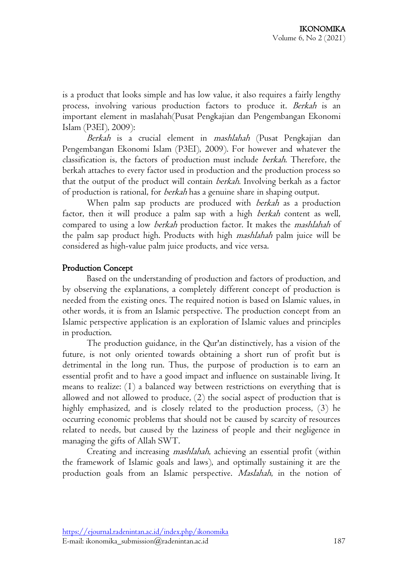is a product that looks simple and has low value, it also requires a fairly lengthy process, involving various production factors to produce it. Berkah is an important element in maslahah(Pusat Pengkajian dan Pengembangan Ekonomi Islam (P3EI), 2009):

Berkah is a crucial element in mashlahah (Pusat Pengkajian dan Pengembangan Ekonomi Islam (P3EI), 2009). For however and whatever the classification is, the factors of production must include berkah. Therefore, the berkah attaches to every factor used in production and the production process so that the output of the product will contain berkah. Involving berkah as a factor of production is rational, for berkah has a genuine share in shaping output.

When palm sap products are produced with *berkah* as a production factor, then it will produce a palm sap with a high berkah content as well, compared to using a low *berkah* production factor. It makes the *mashlahah* of the palm sap product high. Products with high mashlahah palm juice will be considered as high-value palm juice products, and vice versa.

### Production Concept

Based on the understanding of production and factors of production, and by observing the explanations, a completely different concept of production is needed from the existing ones. The required notion is based on Islamic values, in other words, it is from an Islamic perspective. The production concept from an Islamic perspective application is an exploration of Islamic values and principles in production.

The production guidance, in the Qur'an distinctively, has a vision of the future, is not only oriented towards obtaining a short run of profit but is detrimental in the long run. Thus, the purpose of production is to earn an essential profit and to have a good impact and influence on sustainable living. It means to realize: (1) a balanced way between restrictions on everything that is allowed and not allowed to produce, (2) the social aspect of production that is highly emphasized, and is closely related to the production process, (3) he occurring economic problems that should not be caused by scarcity of resources related to needs, but caused by the laziness of people and their negligence in managing the gifts of Allah SWT.

Creating and increasing mashlahah, achieving an essential profit (within the framework of Islamic goals and laws), and optimally sustaining it are the production goals from an Islamic perspective. Maslahah, in the notion of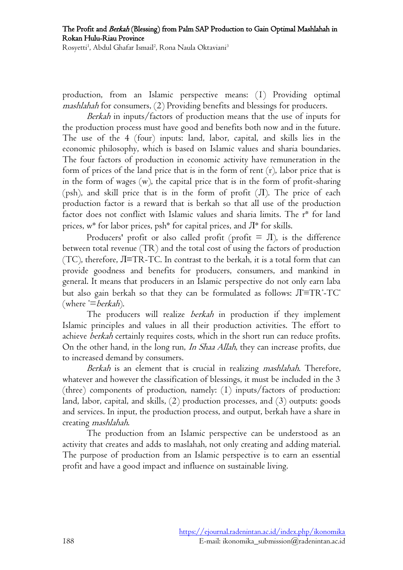The Profit and Berkah (Blessing) from Palm SAP Production to Gain Optimal Mashlahah in Rokan Hulu-Riau Province

Rosyetti<sup>1</sup>, Abdul Ghafar Ismail<sup>2</sup>, Rona Naula Oktaviani<sup>3</sup>

production, from an Islamic perspective means: (1) Providing optimal mashlahah for consumers, (2) Providing benefits and blessings for producers.

Berkah in inputs/factors of production means that the use of inputs for the production process must have good and benefits both now and in the future. The use of the 4 (four) inputs: land, labor, capital, and skills lies in the economic philosophy, which is based on Islamic values and sharia boundaries. The four factors of production in economic activity have remuneration in the form of prices of the land price that is in the form of rent (r), labor price that is in the form of wages (w), the capital price that is in the form of profit-sharing (psh), and skill price that is in the form of profit  $(\Pi)$ . The price of each production factor is a reward that is berkah so that all use of the production factor does not conflict with Islamic values and sharia limits. The r\* for land prices,  $w^*$  for labor prices, psh<sup>\*</sup> for capital prices, and  $\Pi^*$  for skills.

Producers' profit or also called profit (profit  $= \Pi$ ), is the difference between total revenue (TR) and the total cost of using the factors of production (TC), therefore, Л≡TR-TC. In contrast to the berkah, it is a total form that can provide goodness and benefits for producers, consumers, and mankind in general. It means that producers in an Islamic perspective do not only earn laba but also gain berkah so that they can be formulated as follows:  $\text{J}^{\ast}\text{=} \text{T}\text{R}^{\ast}\text{-}\text{T}\text{C}^{\ast}$ (where  $=$  berkah).

The producers will realize *berkah* in production if they implement Islamic principles and values in all their production activities. The effort to achieve berkah certainly requires costs, which in the short run can reduce profits. On the other hand, in the long run, In Shaa Allah, they can increase profits, due to increased demand by consumers.

Berkah is an element that is crucial in realizing *mashlahah*. Therefore, whatever and however the classification of blessings, it must be included in the 3 (three) components of production, namely: (1) inputs/factors of production: land, labor, capital, and skills, (2) production processes, and (3) outputs: goods and services. In input, the production process, and output, berkah have a share in creating mashlahah.

The production from an Islamic perspective can be understood as an activity that creates and adds to maslahah, not only creating and adding material. The purpose of production from an Islamic perspective is to earn an essential profit and have a good impact and influence on sustainable living.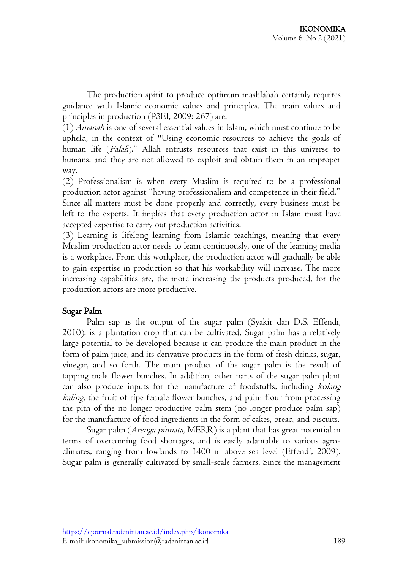The production spirit to produce optimum mashlahah certainly requires guidance with Islamic economic values and principles. The main values and principles in production (P3EI, 2009: 267) are:

 $(1)$  *Amanah* is one of several essential values in Islam, which must continue to be upheld, in the context of "Using economic resources to achieve the goals of human life (*Falah*)." Allah entrusts resources that exist in this universe to humans, and they are not allowed to exploit and obtain them in an improper way.

(2) Professionalism is when every Muslim is required to be a professional production actor against "having professionalism and competence in their field." Since all matters must be done properly and correctly, every business must be left to the experts. It implies that every production actor in Islam must have accepted expertise to carry out production activities.

(3) Learning is lifelong learning from Islamic teachings, meaning that every Muslim production actor needs to learn continuously, one of the learning media is a workplace. From this workplace, the production actor will gradually be able to gain expertise in production so that his workability will increase. The more increasing capabilities are, the more increasing the products produced, for the production actors are more productive.

#### Sugar Palm

Palm sap as the output of the sugar palm (Syakir dan D.S. Effendi, 2010), is a plantation crop that can be cultivated. Sugar palm has a relatively large potential to be developed because it can produce the main product in the form of palm juice, and its derivative products in the form of fresh drinks, sugar, vinegar, and so forth. The main product of the sugar palm is the result of tapping male flower bunches. In addition, other parts of the sugar palm plant can also produce inputs for the manufacture of foodstuffs, including kolang kaling, the fruit of ripe female flower bunches, and palm flour from processing the pith of the no longer productive palm stem (no longer produce palm sap) for the manufacture of food ingredients in the form of cakes, bread, and biscuits.

Sugar palm (Arenga pinnata, MERR) is a plant that has great potential in terms of overcoming food shortages, and is easily adaptable to various agroclimates, ranging from lowlands to 1400 m above sea level (Effendi, 2009). Sugar palm is generally cultivated by small-scale farmers. Since the management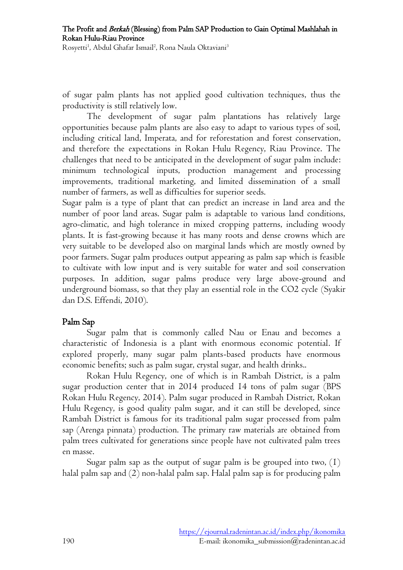The Profit and Berkah (Blessing) from Palm SAP Production to Gain Optimal Mashlahah in Rokan Hulu-Riau Province

Rosyetti<sup>1</sup>, Abdul Ghafar Ismail<sup>2</sup>, Rona Naula Oktaviani<sup>3</sup>

of sugar palm plants has not applied good cultivation techniques, thus the productivity is still relatively low.

The development of sugar palm plantations has relatively large opportunities because palm plants are also easy to adapt to various types of soil, including critical land, Imperata, and for reforestation and forest conservation, and therefore the expectations in Rokan Hulu Regency, Riau Province. The challenges that need to be anticipated in the development of sugar palm include: minimum technological inputs, production management and processing improvements, traditional marketing, and limited dissemination of a small number of farmers, as well as difficulties for superior seeds.

Sugar palm is a type of plant that can predict an increase in land area and the number of poor land areas. Sugar palm is adaptable to various land conditions, agro-climatic, and high tolerance in mixed cropping patterns, including woody plants. It is fast-growing because it has many roots and dense crowns which are very suitable to be developed also on marginal lands which are mostly owned by poor farmers. Sugar palm produces output appearing as palm sap which is feasible to cultivate with low input and is very suitable for water and soil conservation purposes. In addition, sugar palms produce very large above-ground and underground biomass, so that they play an essential role in the CO2 cycle (Syakir dan D.S. Effendi, 2010).

#### Palm Sap

Sugar palm that is commonly called Nau or Enau and becomes a characteristic of Indonesia is a plant with enormous economic potential. If explored properly, many sugar palm plants-based products have enormous economic benefits; such as palm sugar, crystal sugar, and health drinks..

Rokan Hulu Regency, one of which is in Rambah District, is a palm sugar production center that in 2014 produced 14 tons of palm sugar (BPS Rokan Hulu Regency, 2014). Palm sugar produced in Rambah District, Rokan Hulu Regency, is good quality palm sugar, and it can still be developed, since Rambah District is famous for its traditional palm sugar processed from palm sap (Arenga pinnata) production. The primary raw materials are obtained from palm trees cultivated for generations since people have not cultivated palm trees en masse.

Sugar palm sap as the output of sugar palm is be grouped into two,  $(1)$ halal palm sap and (2) non-halal palm sap. Halal palm sap is for producing palm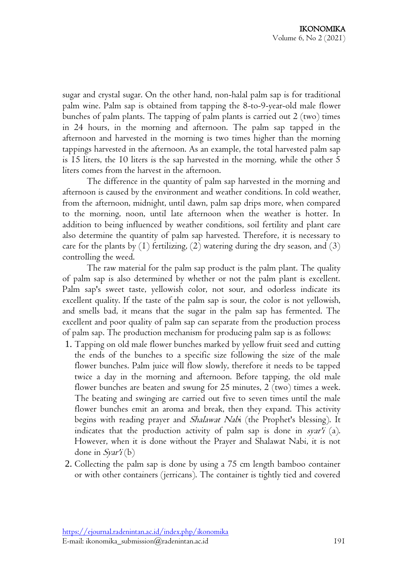sugar and crystal sugar. On the other hand, non-halal palm sap is for traditional palm wine. Palm sap is obtained from tapping the 8-to-9-year-old male flower bunches of palm plants. The tapping of palm plants is carried out 2 (two) times in 24 hours, in the morning and afternoon. The palm sap tapped in the afternoon and harvested in the morning is two times higher than the morning tappings harvested in the afternoon. As an example, the total harvested palm sap is 15 liters, the 10 liters is the sap harvested in the morning, while the other 5 liters comes from the harvest in the afternoon.

The difference in the quantity of palm sap harvested in the morning and afternoon is caused by the environment and weather conditions. In cold weather, from the afternoon, midnight, until dawn, palm sap drips more, when compared to the morning, noon, until late afternoon when the weather is hotter. In addition to being influenced by weather conditions, soil fertility and plant care also determine the quantity of palm sap harvested. Therefore, it is necessary to care for the plants by  $(1)$  fertilizing,  $(2)$  watering during the dry season, and  $(3)$ controlling the weed.

The raw material for the palm sap product is the palm plant. The quality of palm sap is also determined by whether or not the palm plant is excellent. Palm sap's sweet taste, yellowish color, not sour, and odorless indicate its excellent quality. If the taste of the palm sap is sour, the color is not yellowish, and smells bad, it means that the sugar in the palm sap has fermented. The excellent and poor quality of palm sap can separate from the production process of palm sap. The production mechanism for producing palm sap is as follows:

- 1. Tapping on old male flower bunches marked by yellow fruit seed and cutting the ends of the bunches to a specific size following the size of the male flower bunches. Palm juice will flow slowly, therefore it needs to be tapped twice a day in the morning and afternoon. Before tapping, the old male flower bunches are beaten and swung for 25 minutes, 2 (two) times a week. The beating and swinging are carried out five to seven times until the male flower bunches emit an aroma and break, then they expand. This activity begins with reading prayer and Shalawat Nabi (the Prophet's blessing). It indicates that the production activity of palm sap is done in syar'i (a). However, when it is done without the Prayer and Shalawat Nabi, it is not done in  $S\gamma\chi\chi'(\mathbf{b})$
- 2. Collecting the palm sap is done by using a 75 cm length bamboo container or with other containers (jerricans). The container is tightly tied and covered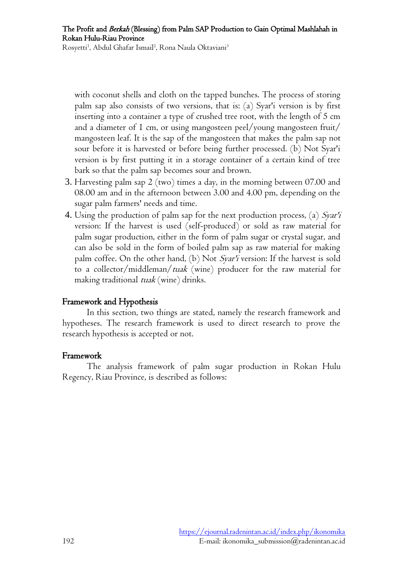with coconut shells and cloth on the tapped bunches. The process of storing palm sap also consists of two versions, that is: (a) Syar'i version is by first inserting into a container a type of crushed tree root, with the length of 5 cm and a diameter of 1 cm, or using mangosteen peel/young mangosteen fruit/ mangosteen leaf. It is the sap of the mangosteen that makes the palm sap not sour before it is harvested or before being further processed. (b) Not Syar'i version is by first putting it in a storage container of a certain kind of tree bark so that the palm sap becomes sour and brown.

- 3. Harvesting palm sap 2 (two) times a day, in the morning between 07.00 and 08.00 am and in the afternoon between 3.00 and 4.00 pm, depending on the sugar palm farmers' needs and time.
- 4. Using the production of palm sap for the next production process, (a) Syar'i version: If the harvest is used (self-produced) or sold as raw material for palm sugar production, either in the form of palm sugar or crystal sugar, and can also be sold in the form of boiled palm sap as raw material for making palm coffee. On the other hand, (b) Not Syar'i version: If the harvest is sold to a collector/middleman/tuak (wine) producer for the raw material for making traditional *tuak* (wine) drinks.

### Framework and Hypothesis

In this section, two things are stated, namely the research framework and hypotheses. The research framework is used to direct research to prove the research hypothesis is accepted or not.

#### Framework

The analysis framework of palm sugar production in Rokan Hulu Regency, Riau Province, is described as follows: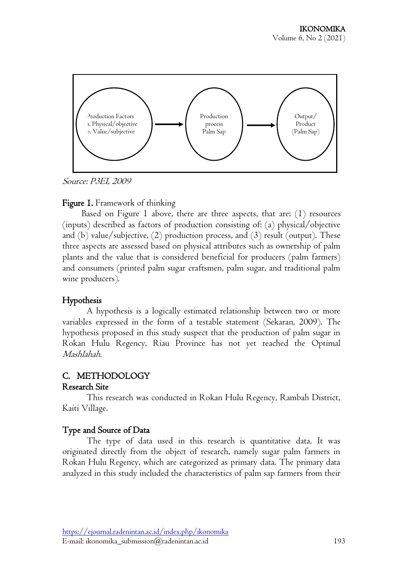

Source: P3EI, 2009

#### Figure 1. Framework of thinking

Based on Figure I above, there are three aspects, that are:  $(1)$  resources (inputs) described as factors of production consisting of: (a) physical/objective and (b) value/subjective,  $(2)$  production process, and  $(3)$  result (output). These three aspects are assessed based on physical attributes such as ownership of palm plants and the value that is considered beneficial for producers (palm farmers) and consumers (printed palm sugar craftsmen, palm sugar, and traditional palm wine producers).

### Hypothesis

A hypothesis is a logically estimated relationship between two or more variables expressed in the form of a testable statement (Sekaran, 2009). The hypothesis proposed in this study suspect that the production of palm sugar in Rokan Hulu Regency, Riau Province has not yet reached the Optimal Mashlahah.

# C. METHODOLOGY

#### Research Site

 This research was conducted in Rokan Hulu Regency, Rambah District, Kaiti Village.

# Type and Source of Data

The type of data used in this research is quantitative data. It was originated directly from the object of research, namely sugar palm farmers in Rokan Hulu Regency, which are categorized as primary data. The primary data analyzed in this study included the characteristics of palm sap farmers from their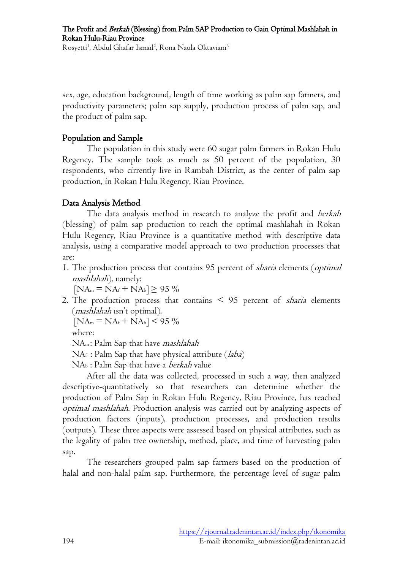sex, age, education background, length of time working as palm sap farmers, and productivity parameters; palm sap supply, production process of palm sap, and the product of palm sap.

### Population and Sample

 The population in this study were 60 sugar palm farmers in Rokan Hulu Regency. The sample took as much as 50 percent of the population, 30 respondents, who cirrently live in Rambah District, as the center of palm sap production, in Rokan Hulu Regency, Riau Province.

# Data Analysis Method

The data analysis method in research to analyze the profit and berkah (blessing) of palm sap production to reach the optimal mashlahah in Rokan Hulu Regency, Riau Province is a quantitative method with descriptive data analysis, using a comparative model approach to two production processes that are:

1. The production process that contains 95 percent of *sharia* elements (*optimal* mashlahah), namely:

 $[NA_m = NA_f + NA_b] \ge 95\%$ 

2. The production process that contains  $\leq$  95 percent of *sharia* elements (mashlahah isn't optimal).

```
[NA_m = NA_f + NA_b] < 95 \%
```
where:

NAm: Palm Sap that have *mashlahah* 

 $NAf$ : Palm Sap that have physical attribute (*laba*)

NAb : Palm Sap that have a berkah value

After all the data was collected, processed in such a way, then analyzed descriptive-quantitatively so that researchers can determine whether the production of Palm Sap in Rokan Hulu Regency, Riau Province, has reached optimal mashlahah. Production analysis was carried out by analyzing aspects of production factors (inputs), production processes, and production results (outputs). These three aspects were assessed based on physical attributes, such as the legality of palm tree ownership, method, place, and time of harvesting palm sap.

The researchers grouped palm sap farmers based on the production of halal and non-halal palm sap. Furthermore, the percentage level of sugar palm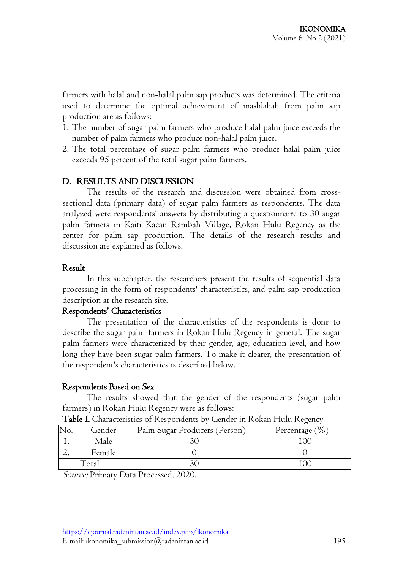farmers with halal and non-halal palm sap products was determined. The criteria used to determine the optimal achievement of mashlahah from palm sap production are as follows:

- 1. The number of sugar palm farmers who produce halal palm juice exceeds the number of palm farmers who produce non-halal palm juice.
- 2. The total percentage of sugar palm farmers who produce halal palm juice exceeds 95 percent of the total sugar palm farmers.

### D. RESULTS AND DISCUSSION

The results of the research and discussion were obtained from crosssectional data (primary data) of sugar palm farmers as respondents. The data analyzed were respondents' answers by distributing a questionnaire to 30 sugar palm farmers in Kaiti Kacan Rambah Village, Rokan Hulu Regency as the center for palm sap production. The details of the research results and discussion are explained as follows.

#### Result

 In this subchapter, the researchers present the results of sequential data processing in the form of respondents' characteristics, and palm sap production description at the research site.

#### Respondents' Characteristics

The presentation of the characteristics of the respondents is done to describe the sugar palm farmers in Rokan Hulu Regency in general. The sugar palm farmers were characterized by their gender, age, education level, and how long they have been sugar palm farmers. To make it clearer, the presentation of the respondent's characteristics is described below.

#### Respondents Based on Sex

The results showed that the gender of the respondents (sugar palm farmers) in Rokan Hulu Regency were as follows:

|     | Tuble 1: Characteristics of Festpondents by Gender III Festival Fund Festive |                               |                    |  |  |  |  |
|-----|------------------------------------------------------------------------------|-------------------------------|--------------------|--|--|--|--|
| No. | Gender                                                                       | Palm Sugar Producers (Person) | Percentage $(\% )$ |  |  |  |  |
|     | Male                                                                         |                               |                    |  |  |  |  |
|     | Female                                                                       |                               |                    |  |  |  |  |
|     | `otal                                                                        |                               |                    |  |  |  |  |

Table I. Characteristics of Respondents by Gender in Rokan Hulu Regency

Source: Primary Data Processed, 2020.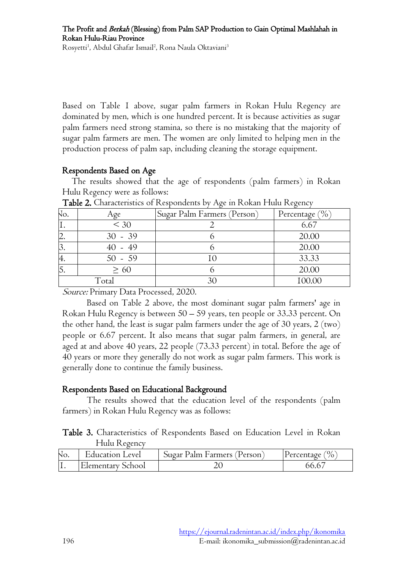Based on Table 1 above, sugar palm farmers in Rokan Hulu Regency are dominated by men, which is one hundred percent. It is because activities as sugar palm farmers need strong stamina, so there is no mistaking that the majority of sugar palm farmers are men. The women are only limited to helping men in the production process of palm sap, including cleaning the storage equipment.

### Respondents Based on Age

The results showed that the age of respondents (palm farmers) in Rokan Hulu Regency were as follows:

| NO.       | Age       | Sugar Palm Farmers (Person) | Percentage (%) |
|-----------|-----------|-----------------------------|----------------|
| <b>1.</b> | $\leq 30$ |                             | 6.67           |
| ۷.        | $30 - 39$ |                             | 20.00          |
| ٥.        | $40 - 49$ |                             | 20.00          |
| н.        | $50 - 59$ |                             | 33.33          |
| v.        | $\geq 60$ |                             | 20.00          |
|           | Total     |                             | 100.00         |

Table 2. Characteristics of Respondents by Age in Rokan Hulu Regency

Source: Primary Data Processed, 2020.

Based on Table 2 above, the most dominant sugar palm farmers' age in Rokan Hulu Regency is between 50 – 59 years, ten people or 33.33 percent. On the other hand, the least is sugar palm farmers under the age of 30 years, 2 (two) people or 6.67 percent. It also means that sugar palm farmers, in general, are aged at and above 40 years, 22 people (73.33 percent) in total. Before the age of 40 years or more they generally do not work as sugar palm farmers. This work is generally done to continue the family business.

# Respondents Based on Educational Background

The results showed that the education level of the respondents (palm farmers) in Rokan Hulu Regency was as follows:

Table 3. Characteristics of Respondents Based on Education Level in Rokan Hulu Regency

| NO. | Education Level   | Sugar Palm Farmers (Person) | $\frac{1}{2}$<br>[Percentage] |
|-----|-------------------|-----------------------------|-------------------------------|
|     | Elementary School |                             | ერ.რ                          |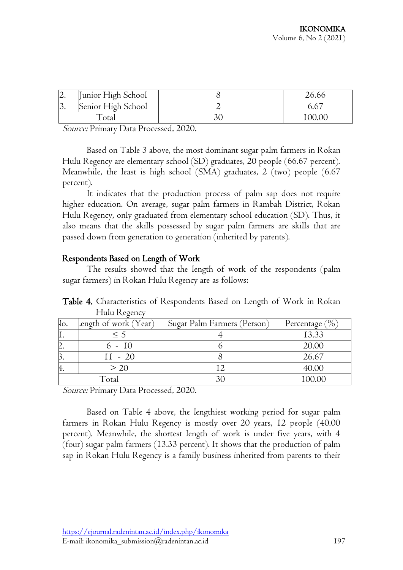| $\overline{4}$             | Junior High School |  |
|----------------------------|--------------------|--|
| $\overline{\mathcal{O}}$ . | Senior High School |  |
|                            | otai               |  |

Source: Primary Data Processed, 2020.

Based on Table 3 above, the most dominant sugar palm farmers in Rokan Hulu Regency are elementary school (SD) graduates, 20 people (66.67 percent). Meanwhile, the least is high school (SMA) graduates, 2 (two) people (6.67 percent).

It indicates that the production process of palm sap does not require higher education. On average, sugar palm farmers in Rambah District, Rokan Hulu Regency, only graduated from elementary school education (SD). Thus, it also means that the skills possessed by sugar palm farmers are skills that are passed down from generation to generation (inherited by parents).

### Respondents Based on Length of Work

The results showed that the length of work of the respondents (palm sugar farmers) in Rokan Hulu Regency are as follows:

Table 4. Characteristics of Respondents Based on Length of Work in Rokan Hulu Regency

| NO. | length of work (Year) | Sugar Palm Farmers (Person) | Percentage $(\% )$ |
|-----|-----------------------|-----------------------------|--------------------|
|     | $\leq 5$              |                             | 13.33              |
|     | 6 - 10                |                             | 20.00              |
|     | $11 - 20$             |                             | 26.67              |
| π.  | > 20                  |                             | 40.00              |
|     | Total                 |                             | 100.00             |

Source: Primary Data Processed, 2020.

Based on Table 4 above, the lengthiest working period for sugar palm farmers in Rokan Hulu Regency is mostly over 20 years, 12 people (40.00 percent). Meanwhile, the shortest length of work is under five years, with 4 (four) sugar palm farmers (13.33 percent). It shows that the production of palm sap in Rokan Hulu Regency is a family business inherited from parents to their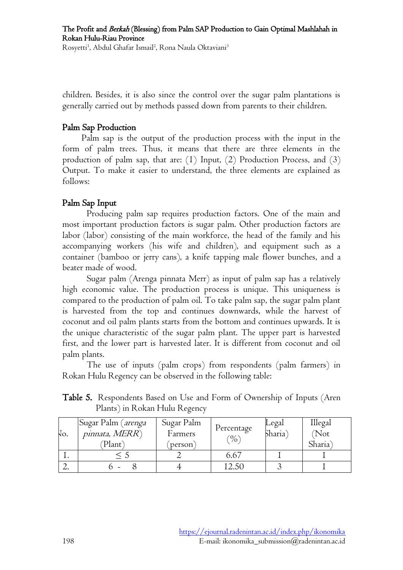children. Besides, it is also since the control over the sugar palm plantations is generally carried out by methods passed down from parents to their children.

### Palm Sap Production

Palm sap is the output of the production process with the input in the form of palm trees. Thus, it means that there are three elements in the production of palm sap, that are: (1) Input, (2) Production Process, and (3) Output. To make it easier to understand, the three elements are explained as follows:

# Palm Sap Input

Producing palm sap requires production factors. One of the main and most important production factors is sugar palm. Other production factors are labor (labor) consisting of the main workforce, the head of the family and his accompanying workers (his wife and children), and equipment such as a container (bamboo or jerry cans), a knife tapping male flower bunches, and a beater made of wood.

Sugar palm (Arenga pinnata Merr) as input of palm sap has a relatively high economic value. The production process is unique. This uniqueness is compared to the production of palm oil. To take palm sap, the sugar palm plant is harvested from the top and continues downwards, while the harvest of coconut and oil palm plants starts from the bottom and continues upwards. It is the unique characteristic of the sugar palm plant. The upper part is harvested first, and the lower part is harvested later. It is different from coconut and oil palm plants.

The use of inputs (palm crops) from respondents (palm farmers) in Rokan Hulu Regency can be observed in the following table:

|  | Table 5. Respondents Based on Use and Form of Ownership of Inputs (Aren |  |  |  |  |  |
|--|-------------------------------------------------------------------------|--|--|--|--|--|
|  | Plants) in Rokan Hulu Regency                                           |  |  |  |  |  |
|  |                                                                         |  |  |  |  |  |

| No. | Sugar Palm ( <i>arenga</i><br>pinnata, MERR)<br>Plant) | Sugar Palm<br>Farmers<br>person) | Percentage<br>$\gamma_0$ | Legal<br>Sharia` | Illegal<br>(Not<br>Sharia) |
|-----|--------------------------------------------------------|----------------------------------|--------------------------|------------------|----------------------------|
|     |                                                        |                                  | 6.67                     |                  |                            |
| ∠.  |                                                        |                                  | 12.50                    |                  |                            |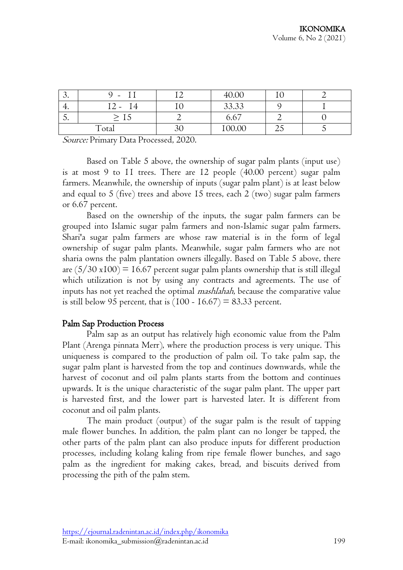| $\mathbf{\mathcal{C}}$ | $\overline{\phantom{a}}$ |    | 40.00  |     |  |
|------------------------|--------------------------|----|--------|-----|--|
| т.                     | 14<br>$\prime$ , $-$     |    | 33.33  |     |  |
| $\cup$                 | ⊥∪                       |    | 6.67   |     |  |
|                        | Total                    | ov | 100.00 | لµك |  |

Source: Primary Data Processed, 2020.

Based on Table 5 above, the ownership of sugar palm plants (input use) is at most 9 to 11 trees. There are 12 people (40.00 percent) sugar palm farmers. Meanwhile, the ownership of inputs (sugar palm plant) is at least below and equal to 5 (five) trees and above 15 trees, each 2 (two) sugar palm farmers or 6.67 percent.

Based on the ownership of the inputs, the sugar palm farmers can be grouped into Islamic sugar palm farmers and non-Islamic sugar palm farmers. Shari'a sugar palm farmers are whose raw material is in the form of legal ownership of sugar palm plants. Meanwhile, sugar palm farmers who are not sharia owns the palm plantation owners illegally. Based on Table 5 above, there are  $(5/30 \times 100) = 16.67$  percent sugar palm plants ownership that is still illegal which utilization is not by using any contracts and agreements. The use of inputs has not yet reached the optimal mashlahah, because the comparative value is still below 95 percent, that is  $(100 - 16.67) = 83.33$  percent.

#### Palm Sap Production Process

Palm sap as an output has relatively high economic value from the Palm Plant (Arenga pinnata Merr), where the production process is very unique. This uniqueness is compared to the production of palm oil. To take palm sap, the sugar palm plant is harvested from the top and continues downwards, while the harvest of coconut and oil palm plants starts from the bottom and continues upwards. It is the unique characteristic of the sugar palm plant. The upper part is harvested first, and the lower part is harvested later. It is different from coconut and oil palm plants.

The main product (output) of the sugar palm is the result of tapping male flower bunches. In addition, the palm plant can no longer be tapped, the other parts of the palm plant can also produce inputs for different production processes, including kolang kaling from ripe female flower bunches, and sago palm as the ingredient for making cakes, bread, and biscuits derived from processing the pith of the palm stem.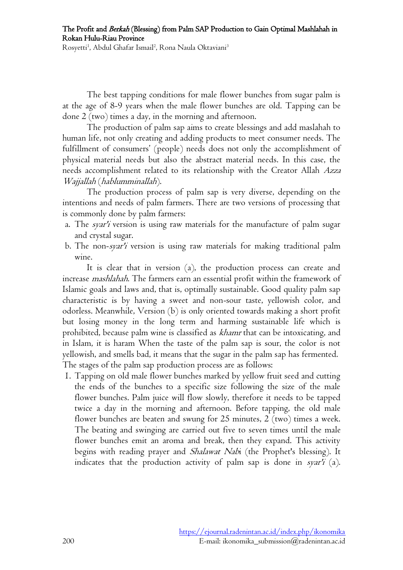The best tapping conditions for male flower bunches from sugar palm is at the age of 8-9 years when the male flower bunches are old. Tapping can be done 2 (two) times a day, in the morning and afternoon.

The production of palm sap aims to create blessings and add maslahah to human life, not only creating and adding products to meet consumer needs. The fulfillment of consumers' (people) needs does not only the accomplishment of physical material needs but also the abstract material needs. In this case, the needs accomplishment related to its relationship with the Creator Allah Azza Wajjallah (hablumminallah).

The production process of palm sap is very diverse, depending on the intentions and needs of palm farmers. There are two versions of processing that is commonly done by palm farmers:

- a. The *syar'i* version is using raw materials for the manufacture of palm sugar and crystal sugar.
- b. The non-syar'i version is using raw materials for making traditional palm wine.

It is clear that in version (a), the production process can create and increase mashlahah. The farmers earn an essential profit within the framework of Islamic goals and laws and, that is, optimally sustainable. Good quality palm sap characteristic is by having a sweet and non-sour taste, yellowish color, and odorless. Meanwhile, Version (b) is only oriented towards making a short profit but losing money in the long term and harming sustainable life which is prohibited, because palm wine is classified as khamr that can be intoxicating, and in Islam, it is haram When the taste of the palm sap is sour, the color is not yellowish, and smells bad, it means that the sugar in the palm sap has fermented. The stages of the palm sap production process are as follows:

1. Tapping on old male flower bunches marked by yellow fruit seed and cutting the ends of the bunches to a specific size following the size of the male flower bunches. Palm juice will flow slowly, therefore it needs to be tapped twice a day in the morning and afternoon. Before tapping, the old male flower bunches are beaten and swung for 25 minutes, 2 (two) times a week. The beating and swinging are carried out five to seven times until the male flower bunches emit an aroma and break, then they expand. This activity begins with reading prayer and *Shalawat Nabi* (the Prophet's blessing). It indicates that the production activity of palm sap is done in syar'i (a).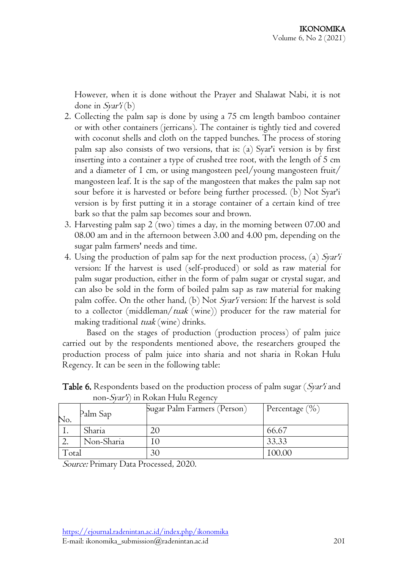However, when it is done without the Prayer and Shalawat Nabi, it is not done in  $S\gamma\chi\chi'(\mathbf{b})$ 

- 2. Collecting the palm sap is done by using a 75 cm length bamboo container or with other containers (jerricans). The container is tightly tied and covered with coconut shells and cloth on the tapped bunches. The process of storing palm sap also consists of two versions, that is: (a) Syar'i version is by first inserting into a container a type of crushed tree root, with the length of 5 cm and a diameter of 1 cm, or using mangosteen peel/young mangosteen fruit/ mangosteen leaf. It is the sap of the mangosteen that makes the palm sap not sour before it is harvested or before being further processed. (b) Not Syar'i version is by first putting it in a storage container of a certain kind of tree bark so that the palm sap becomes sour and brown.
- 3. Harvesting palm sap 2 (two) times a day, in the morning between 07.00 and 08.00 am and in the afternoon between 3.00 and 4.00 pm, depending on the sugar palm farmers' needs and time.
- 4. Using the production of palm sap for the next production process, (a) Syar'i version: If the harvest is used (self-produced) or sold as raw material for palm sugar production, either in the form of palm sugar or crystal sugar, and can also be sold in the form of boiled palm sap as raw material for making palm coffee. On the other hand, (b) Not Syar'i version: If the harvest is sold to a collector (middleman/*tuak* (wine)) producer for the raw material for making traditional *tuak* (wine) drinks.

Based on the stages of production (production process) of palm juice carried out by the respondents mentioned above, the researchers grouped the production process of palm juice into sharia and not sharia in Rokan Hulu Regency. It can be seen in the following table:

|       | $11011$ D/m $1/111$ I contain I have I co/ chic |                             |                    |  |  |  |  |
|-------|-------------------------------------------------|-----------------------------|--------------------|--|--|--|--|
| No.   | Palm Sap                                        | Sugar Palm Farmers (Person) | Percentage $(\% )$ |  |  |  |  |
|       | Sharia                                          |                             | 66.67              |  |  |  |  |
|       | Non-Sharia                                      |                             | 33.33              |  |  |  |  |
| Total |                                                 | 30                          | 100.00             |  |  |  |  |

Table 6. Respondents based on the production process of palm sugar (Syar'i and non- $Svar^{\prime}$  in Rokan Hulu Regency

Source: Primary Data Processed, 2020.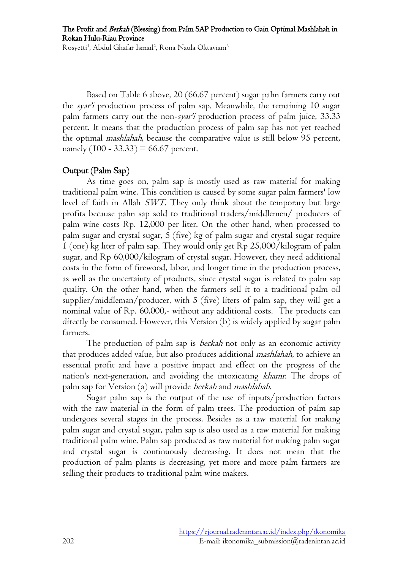The Profit and Berkah (Blessing) from Palm SAP Production to Gain Optimal Mashlahah in Rokan Hulu-Riau Province

Rosyetti<sup>1</sup>, Abdul Ghafar Ismail<sup>2</sup>, Rona Naula Oktaviani<sup>3</sup>

Based on Table 6 above, 20 (66.67 percent) sugar palm farmers carry out the svar'i production process of palm sap. Meanwhile, the remaining 10 sugar palm farmers carry out the non-syar'i production process of palm juice, 33.33 percent. It means that the production process of palm sap has not yet reached the optimal mashlahah, because the comparative value is still below 95 percent, namely  $(100 - 33.33) = 66.67$  percent.

#### Output (Palm Sap)

As time goes on, palm sap is mostly used as raw material for making traditional palm wine. This condition is caused by some sugar palm farmers' low level of faith in Allah SWT. They only think about the temporary but large profits because palm sap sold to traditional traders/middlemen/ producers of palm wine costs Rp. 12,000 per liter. On the other hand, when processed to palm sugar and crystal sugar, 5 (five) kg of palm sugar and crystal sugar require 1 (one) kg liter of palm sap. They would only get Rp 25,000/kilogram of palm sugar, and Rp 60,000/kilogram of crystal sugar. However, they need additional costs in the form of firewood, labor, and longer time in the production process, as well as the uncertainty of products, since crystal sugar is related to palm sap quality. On the other hand, when the farmers sell it to a traditional palm oil supplier/middleman/producer, with 5 (five) liters of palm sap, they will get a nominal value of Rp. 60,000,- without any additional costs. The products can directly be consumed. However, this Version (b) is widely applied by sugar palm farmers.

The production of palm sap is *berkah* not only as an economic activity that produces added value, but also produces additional mashlahah, to achieve an essential profit and have a positive impact and effect on the progress of the nation's next-generation, and avoiding the intoxicating khamr. The drops of palm sap for Version (a) will provide berkah and mashlahah.

Sugar palm sap is the output of the use of inputs/production factors with the raw material in the form of palm trees. The production of palm sap undergoes several stages in the process. Besides as a raw material for making palm sugar and crystal sugar, palm sap is also used as a raw material for making traditional palm wine. Palm sap produced as raw material for making palm sugar and crystal sugar is continuously decreasing. It does not mean that the production of palm plants is decreasing, yet more and more palm farmers are selling their products to traditional palm wine makers.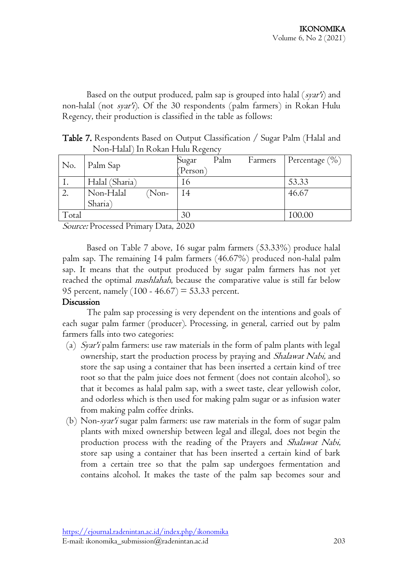Based on the output produced, palm sap is grouped into halal  $(s\gamma a r')$  and non-halal (not *syar'i*). Of the 30 respondents (palm farmers) in Rokan Hulu Regency, their production is classified in the table as follows:

Table 7. Respondents Based on Output Classification / Sugar Palm (Halal and Non-Halal) In Rokan Hulu Regency

| No.   | Palm Sap             | Sugar    | Palm | Farmers | Percentage $(\% )$ |
|-------|----------------------|----------|------|---------|--------------------|
|       |                      | (Person) |      |         |                    |
|       | Halal (Sharia)       | 16       |      |         | 53.33              |
| 2.    | Non-Halal<br>$(Non-$ | 14       |      |         | 46.67              |
|       | Sharia)              |          |      |         |                    |
| Total |                      | 30       |      |         | 100.00             |

Source: Processed Primary Data, 2020

Based on Table 7 above, 16 sugar palm farmers (53.33%) produce halal palm sap. The remaining 14 palm farmers (46.67%) produced non-halal palm sap. It means that the output produced by sugar palm farmers has not yet reached the optimal *mashlahah*, because the comparative value is still far below 95 percent, namely  $(100 - 46.67) = 53.33$  percent.

#### Discussion

The palm sap processing is very dependent on the intentions and goals of each sugar palm farmer (producer). Processing, in general, carried out by palm farmers falls into two categories:

- (a)  $S\gamma$  palm farmers: use raw materials in the form of palm plants with legal ownership, start the production process by praying and *Shalawat Nabi*, and store the sap using a container that has been inserted a certain kind of tree root so that the palm juice does not ferment (does not contain alcohol), so that it becomes as halal palm sap, with a sweet taste, clear yellowish color, and odorless which is then used for making palm sugar or as infusion water from making palm coffee drinks.
- (b) Non-syar'i sugar palm farmers: use raw materials in the form of sugar palm plants with mixed ownership between legal and illegal, does not begin the production process with the reading of the Prayers and *Shalawat Nabi*, store sap using a container that has been inserted a certain kind of bark from a certain tree so that the palm sap undergoes fermentation and contains alcohol. It makes the taste of the palm sap becomes sour and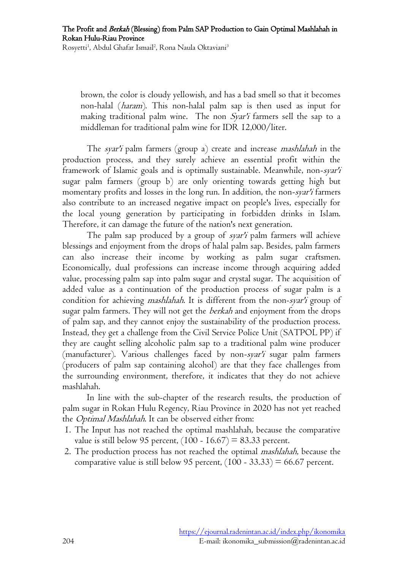brown, the color is cloudy yellowish, and has a bad smell so that it becomes non-halal (haram). This non-halal palm sap is then used as input for making traditional palm wine. The non Syar'i farmers sell the sap to a middleman for traditional palm wine for IDR 12,000/liter.

The syar'i palm farmers (group a) create and increase mashlahah in the production process, and they surely achieve an essential profit within the framework of Islamic goals and is optimally sustainable. Meanwhile, non-syar'i sugar palm farmers (group b) are only orienting towards getting high but momentary profits and losses in the long run. In addition, the non-syar'i farmers also contribute to an increased negative impact on people's lives, especially for the local young generation by participating in forbidden drinks in Islam. Therefore, it can damage the future of the nation's next generation.

The palm sap produced by a group of *syar'i* palm farmers will achieve blessings and enjoyment from the drops of halal palm sap. Besides, palm farmers can also increase their income by working as palm sugar craftsmen. Economically, dual professions can increase income through acquiring added value, processing palm sap into palm sugar and crystal sugar. The acquisition of added value as a continuation of the production process of sugar palm is a condition for achieving *mashlahah*. It is different from the non-syar'i group of sugar palm farmers. They will not get the *berkah* and enjoyment from the drops of palm sap, and they cannot enjoy the sustainability of the production process. Instead, they get a challenge from the Civil Service Police Unit (SATPOL PP) if they are caught selling alcoholic palm sap to a traditional palm wine producer (manufacturer). Various challenges faced by non-syar'i sugar palm farmers (producers of palm sap containing alcohol) are that they face challenges from the surrounding environment, therefore, it indicates that they do not achieve mashlahah.

In line with the sub-chapter of the research results, the production of palm sugar in Rokan Hulu Regency, Riau Province in 2020 has not yet reached the Optimal Mashlahah. It can be observed either from:

- 1. The Input has not reached the optimal mashlahah, because the comparative value is still below 95 percent,  $(100 - 16.67) = 83.33$  percent.
- 2. The production process has not reached the optimal mashlahah, because the comparative value is still below 95 percent,  $(100 - 33.33) = 66.67$  percent.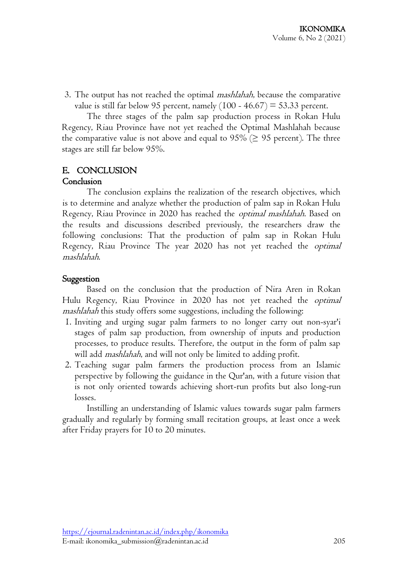3. The output has not reached the optimal *mashlahah*, because the comparative value is still far below 95 percent, namely  $(100 - 46.67) = 53.33$  percent.

The three stages of the palm sap production process in Rokan Hulu Regency, Riau Province have not yet reached the Optimal Mashlahah because the comparative value is not above and equal to 95% ( $\geq$  95 percent). The three stages are still far below 95%.

# E. CONCLUSION

#### Conclusion

The conclusion explains the realization of the research objectives, which is to determine and analyze whether the production of palm sap in Rokan Hulu Regency, Riau Province in 2020 has reached the optimal mashlahah. Based on the results and discussions described previously, the researchers draw the following conclusions: That the production of palm sap in Rokan Hulu Regency, Riau Province The year 2020 has not yet reached the *optimal* mashlahah.

### Suggestion

Based on the conclusion that the production of Nira Aren in Rokan Hulu Regency, Riau Province in 2020 has not yet reached the optimal mashlahah this study offers some suggestions, including the following:

- 1. Inviting and urging sugar palm farmers to no longer carry out non-syar'i stages of palm sap production, from ownership of inputs and production processes, to produce results. Therefore, the output in the form of palm sap will add *mashlahah*, and will not only be limited to adding profit.
- 2. Teaching sugar palm farmers the production process from an Islamic perspective by following the guidance in the Qur'an, with a future vision that is not only oriented towards achieving short-run profits but also long-run losses.

Instilling an understanding of Islamic values towards sugar palm farmers gradually and regularly by forming small recitation groups, at least once a week after Friday prayers for 10 to 20 minutes.